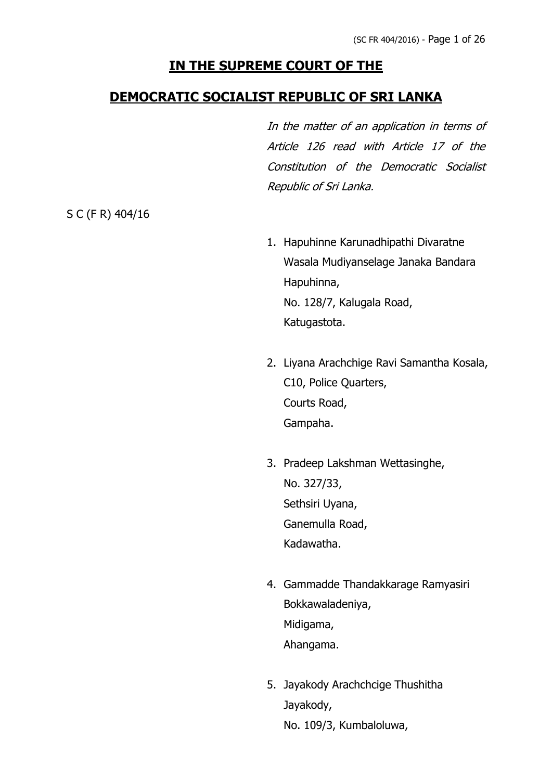# **IN THE SUPREME COURT OF THE**

# **DEMOCRATIC SOCIALIST REPUBLIC OF SRI LANKA**

In the matter of an application in terms of Article 126 read with Article 17 of the Constitution of the Democratic Socialist Republic of Sri Lanka.

S C (F R) 404/16

- 1. Hapuhinne Karunadhipathi Divaratne Wasala Mudiyanselage Janaka Bandara Hapuhinna, No. 128/7, Kalugala Road, Katugastota.
- 2. Liyana Arachchige Ravi Samantha Kosala, C10, Police Quarters, Courts Road, Gampaha.
- 3. Pradeep Lakshman Wettasinghe, No. 327/33, Sethsiri Uyana, Ganemulla Road, Kadawatha.
- 4. Gammadde Thandakkarage Ramyasiri Bokkawaladeniya, Midigama, Ahangama.
- 5. Jayakody Arachchcige Thushitha Jayakody, No. 109/3, Kumbaloluwa,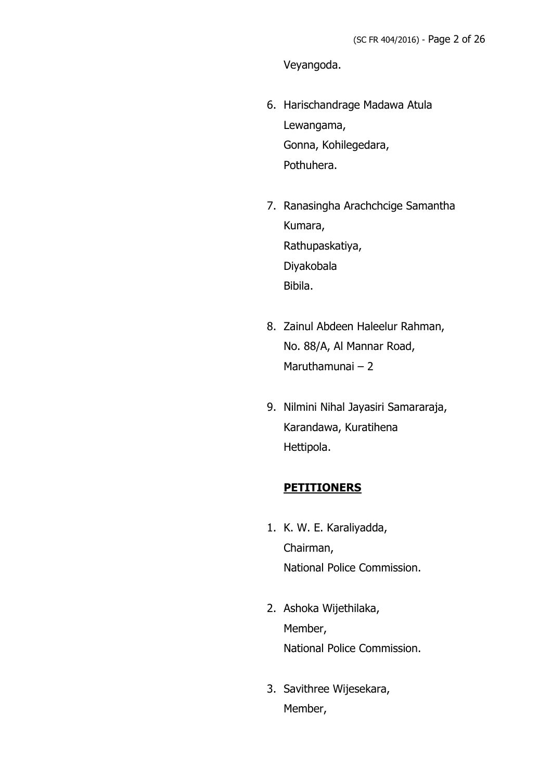Veyangoda.

- 6. Harischandrage Madawa Atula Lewangama, Gonna, Kohilegedara, Pothuhera.
- 7. Ranasingha Arachchcige Samantha Kumara, Rathupaskatiya, Diyakobala Bibila.
- 8. Zainul Abdeen Haleelur Rahman, No. 88/A, Al Mannar Road, Maruthamunai – 2
- 9. Nilmini Nihal Jayasiri Samararaja, Karandawa, Kuratihena Hettipola.

#### **PETITIONERS**

- 1. K. W. E. Karaliyadda, Chairman, National Police Commission.
- 2. Ashoka Wijethilaka, Member, National Police Commission.
- 3. Savithree Wijesekara, Member,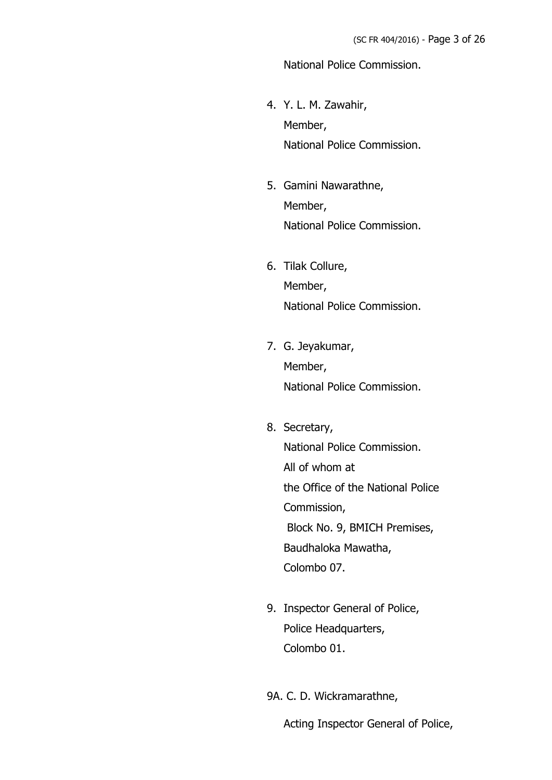#### National Police Commission.

- 4. Y. L. M. Zawahir, Member, National Police Commission.
- 5. Gamini Nawarathne, Member, National Police Commission.
- 6. Tilak Collure, Member, National Police Commission.
- 7. G. Jeyakumar, Member, National Police Commission.
- 8. Secretary, National Police Commission. All of whom at the Office of the National Police Commission, Block No. 9, BMICH Premises, Baudhaloka Mawatha, Colombo 07.
- 9. Inspector General of Police, Police Headquarters, Colombo 01.
- 9A. C. D. Wickramarathne,

Acting Inspector General of Police,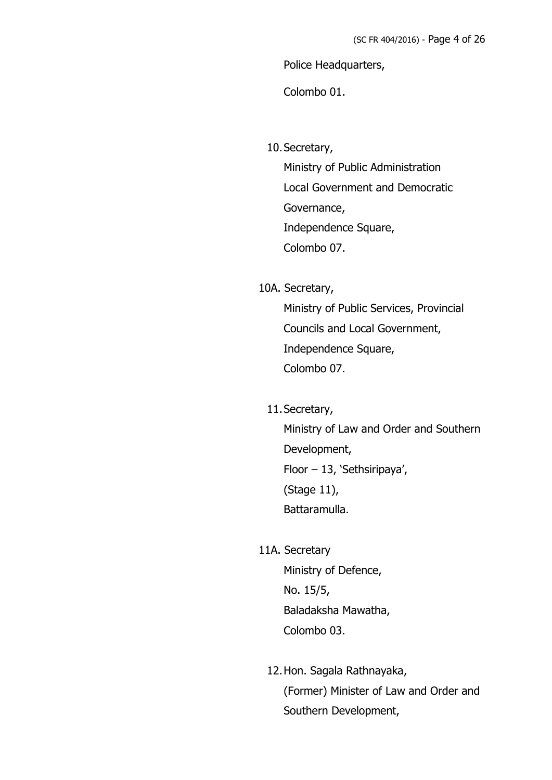Police Headquarters,

Colombo 01.

10.Secretary,

Ministry of Public Administration Local Government and Democratic Governance, Independence Square, Colombo 07.

10A. Secretary,

Ministry of Public Services, Provincial Councils and Local Government, Independence Square, Colombo 07.

11.Secretary,

Ministry of Law and Order and Southern Development, Floor – 13, 'Sethsiripaya', (Stage 11), Battaramulla.

11A. Secretary

Ministry of Defence, No. 15/5, Baladaksha Mawatha, Colombo 03.

12.Hon. Sagala Rathnayaka, (Former) Minister of Law and Order and Southern Development,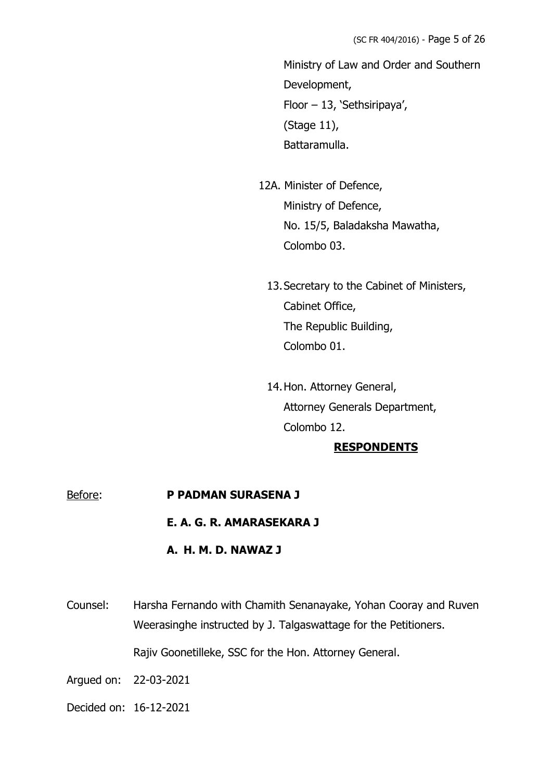Ministry of Law and Order and Southern Development, Floor – 13, 'Sethsiripaya', (Stage 11), Battaramulla.

- 12A. Minister of Defence, Ministry of Defence, No. 15/5, Baladaksha Mawatha, Colombo 03.
	- 13.Secretary to the Cabinet of Ministers, Cabinet Office, The Republic Building, Colombo 01.
	- 14.Hon. Attorney General, Attorney Generals Department, Colombo 12.

#### **RESPONDENTS**

# Before: **P PADMAN SURASENA J E. A. G. R. AMARASEKARA J**

**A. H. M. D. NAWAZ J**

Counsel: Harsha Fernando with Chamith Senanayake, Yohan Cooray and Ruven Weerasinghe instructed by J. Talgaswattage for the Petitioners. Rajiv Goonetilleke, SSC for the Hon. Attorney General.

- Argued on: 22-03-2021
- Decided on: 16-12-2021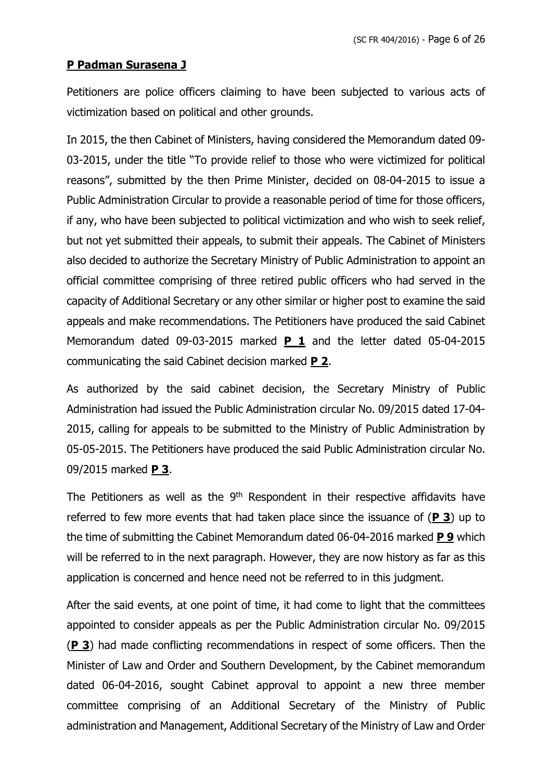### **P Padman Surasena J**

Petitioners are police officers claiming to have been subjected to various acts of victimization based on political and other grounds.

In 2015, the then Cabinet of Ministers, having considered the Memorandum dated 09- 03-2015, under the title "To provide relief to those who were victimized for political reasons", submitted by the then Prime Minister, decided on 08-04-2015 to issue a Public Administration Circular to provide a reasonable period of time for those officers, if any, who have been subjected to political victimization and who wish to seek relief, but not yet submitted their appeals, to submit their appeals. The Cabinet of Ministers also decided to authorize the Secretary Ministry of Public Administration to appoint an official committee comprising of three retired public officers who had served in the capacity of Additional Secretary or any other similar or higher post to examine the said appeals and make recommendations. The Petitioners have produced the said Cabinet Memorandum dated 09-03-2015 marked **P 1** and the letter dated 05-04-2015 communicating the said Cabinet decision marked **P 2**.

As authorized by the said cabinet decision, the Secretary Ministry of Public Administration had issued the Public Administration circular No. 09/2015 dated 17-04- 2015, calling for appeals to be submitted to the Ministry of Public Administration by 05-05-2015. The Petitioners have produced the said Public Administration circular No. 09/2015 marked **P 3**.

The Petitioners as well as the 9<sup>th</sup> Respondent in their respective affidavits have referred to few more events that had taken place since the issuance of (**P 3**) up to the time of submitting the Cabinet Memorandum dated 06-04-2016 marked **P 9** which will be referred to in the next paragraph. However, they are now history as far as this application is concerned and hence need not be referred to in this judgment.

After the said events, at one point of time, it had come to light that the committees appointed to consider appeals as per the Public Administration circular No. 09/2015 (**P 3**) had made conflicting recommendations in respect of some officers. Then the Minister of Law and Order and Southern Development, by the Cabinet memorandum dated 06-04-2016, sought Cabinet approval to appoint a new three member committee comprising of an Additional Secretary of the Ministry of Public administration and Management, Additional Secretary of the Ministry of Law and Order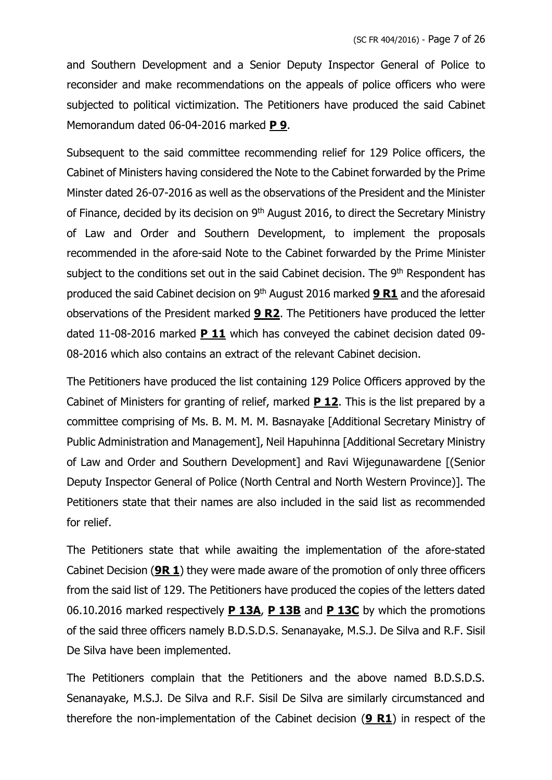and Southern Development and a Senior Deputy Inspector General of Police to reconsider and make recommendations on the appeals of police officers who were subjected to political victimization. The Petitioners have produced the said Cabinet Memorandum dated 06-04-2016 marked **P 9**.

Subsequent to the said committee recommending relief for 129 Police officers, the Cabinet of Ministers having considered the Note to the Cabinet forwarded by the Prime Minster dated 26-07-2016 as well as the observations of the President and the Minister of Finance, decided by its decision on 9<sup>th</sup> August 2016, to direct the Secretary Ministry of Law and Order and Southern Development, to implement the proposals recommended in the afore-said Note to the Cabinet forwarded by the Prime Minister subject to the conditions set out in the said Cabinet decision. The 9<sup>th</sup> Respondent has produced the said Cabinet decision on 9<sup>th</sup> August 2016 marked **9 R1** and the aforesaid observations of the President marked **9 R2**. The Petitioners have produced the letter dated 11-08-2016 marked **P 11** which has conveyed the cabinet decision dated 09- 08-2016 which also contains an extract of the relevant Cabinet decision.

The Petitioners have produced the list containing 129 Police Officers approved by the Cabinet of Ministers for granting of relief, marked **P 12**. This is the list prepared by a committee comprising of Ms. B. M. M. M. Basnayake [Additional Secretary Ministry of Public Administration and Management], Neil Hapuhinna [Additional Secretary Ministry of Law and Order and Southern Development] and Ravi Wijegunawardene [(Senior Deputy Inspector General of Police (North Central and North Western Province)]. The Petitioners state that their names are also included in the said list as recommended for relief.

The Petitioners state that while awaiting the implementation of the afore-stated Cabinet Decision (**9R 1**) they were made aware of the promotion of only three officers from the said list of 129. The Petitioners have produced the copies of the letters dated 06.10.2016 marked respectively **P 13A**, **P 13B** and **P 13C** by which the promotions of the said three officers namely B.D.S.D.S. Senanayake, M.S.J. De Silva and R.F. Sisil De Silva have been implemented.

The Petitioners complain that the Petitioners and the above named B.D.S.D.S. Senanayake, M.S.J. De Silva and R.F. Sisil De Silva are similarly circumstanced and therefore the non-implementation of the Cabinet decision (**9 R1**) in respect of the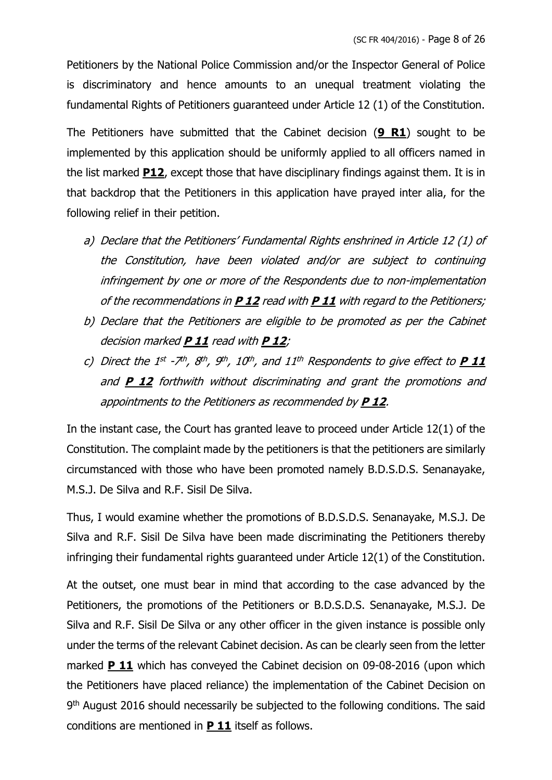Petitioners by the National Police Commission and/or the Inspector General of Police is discriminatory and hence amounts to an unequal treatment violating the fundamental Rights of Petitioners guaranteed under Article 12 (1) of the Constitution.

The Petitioners have submitted that the Cabinet decision (**9 R1**) sought to be implemented by this application should be uniformly applied to all officers named in the list marked **P12**, except those that have disciplinary findings against them. It is in that backdrop that the Petitioners in this application have prayed inter alia, for the following relief in their petition.

- a) Declare that the Petitioners' Fundamental Rights enshrined in Article 12 (1) of the Constitution, have been violated and/or are subject to continuing infringement by one or more of the Respondents due to non-implementation of the recommendations in **P 12** read with **P 11** with regard to the Petitioners;
- b) Declare that the Petitioners are eligible to be promoted as per the Cabinet decision marked **P 11** read with **P 12**;
- c) Direct the 1st -7th, 8th, 9th, 10th, and 11th Respondents to give effect to **P 11** and **P 12** forthwith without discriminating and grant the promotions and appointments to the Petitioners as recommended by **P 12**.

In the instant case, the Court has granted leave to proceed under Article 12(1) of the Constitution. The complaint made by the petitioners is that the petitioners are similarly circumstanced with those who have been promoted namely B.D.S.D.S. Senanayake, M.S.J. De Silva and R.F. Sisil De Silva.

Thus, I would examine whether the promotions of B.D.S.D.S. Senanayake, M.S.J. De Silva and R.F. Sisil De Silva have been made discriminating the Petitioners thereby infringing their fundamental rights guaranteed under Article 12(1) of the Constitution.

At the outset, one must bear in mind that according to the case advanced by the Petitioners, the promotions of the Petitioners or B.D.S.D.S. Senanayake, M.S.J. De Silva and R.F. Sisil De Silva or any other officer in the given instance is possible only under the terms of the relevant Cabinet decision. As can be clearly seen from the letter marked **P 11** which has conveyed the Cabinet decision on 09-08-2016 (upon which the Petitioners have placed reliance) the implementation of the Cabinet Decision on 9<sup>th</sup> August 2016 should necessarily be subjected to the following conditions. The said conditions are mentioned in **P 11** itself as follows.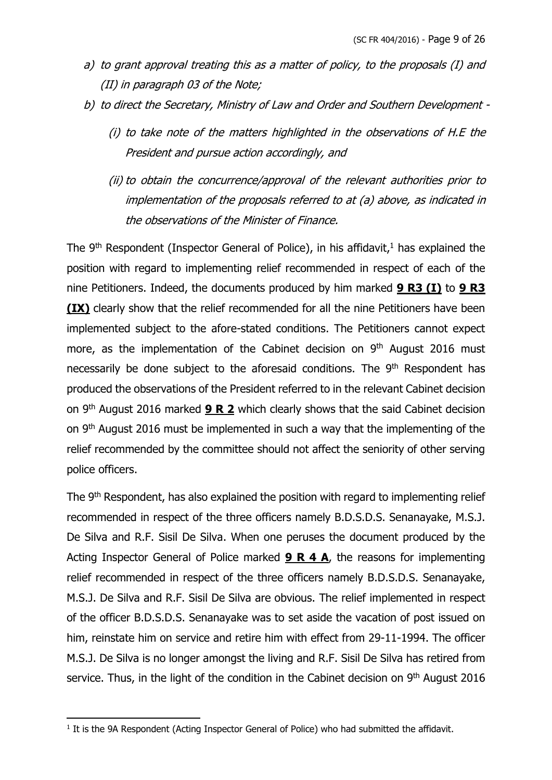- a) to grant approval treating this as a matter of policy, to the proposals (I) and (II) in paragraph 03 of the Note;
- b) to direct the Secretary, Ministry of Law and Order and Southern Development
	- (i) to take note of the matters highlighted in the observations of H.E the President and pursue action accordingly, and
	- (ii) to obtain the concurrence/approval of the relevant authorities prior to implementation of the proposals referred to at (a) above, as indicated in the observations of the Minister of Finance.

The  $9<sup>th</sup>$  Respondent (Inspector General of Police), in his affidavit,<sup>1</sup> has explained the position with regard to implementing relief recommended in respect of each of the nine Petitioners. Indeed, the documents produced by him marked **9 R3 (I)** to **9 R3 (IX)** clearly show that the relief recommended for all the nine Petitioners have been implemented subject to the afore-stated conditions. The Petitioners cannot expect more, as the implementation of the Cabinet decision on  $9<sup>th</sup>$  August 2016 must necessarily be done subject to the aforesaid conditions. The 9<sup>th</sup> Respondent has produced the observations of the President referred to in the relevant Cabinet decision on 9th August 2016 marked **9 R 2** which clearly shows that the said Cabinet decision on 9<sup>th</sup> August 2016 must be implemented in such a way that the implementing of the relief recommended by the committee should not affect the seniority of other serving police officers.

The 9<sup>th</sup> Respondent, has also explained the position with regard to implementing relief recommended in respect of the three officers namely B.D.S.D.S. Senanayake, M.S.J. De Silva and R.F. Sisil De Silva. When one peruses the document produced by the Acting Inspector General of Police marked **9 R 4 A**, the reasons for implementing relief recommended in respect of the three officers namely B.D.S.D.S. Senanayake, M.S.J. De Silva and R.F. Sisil De Silva are obvious. The relief implemented in respect of the officer B.D.S.D.S. Senanayake was to set aside the vacation of post issued on him, reinstate him on service and retire him with effect from 29-11-1994. The officer M.S.J. De Silva is no longer amongst the living and R.F. Sisil De Silva has retired from service. Thus, in the light of the condition in the Cabinet decision on 9<sup>th</sup> August 2016

 $<sup>1</sup>$  It is the 9A Respondent (Acting Inspector General of Police) who had submitted the affidavit.</sup>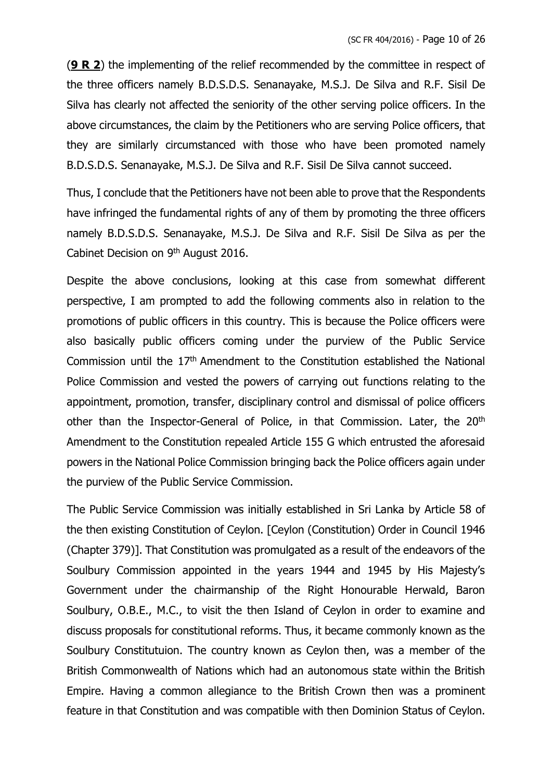(**9 R 2**) the implementing of the relief recommended by the committee in respect of the three officers namely B.D.S.D.S. Senanayake, M.S.J. De Silva and R.F. Sisil De Silva has clearly not affected the seniority of the other serving police officers. In the above circumstances, the claim by the Petitioners who are serving Police officers, that they are similarly circumstanced with those who have been promoted namely B.D.S.D.S. Senanayake, M.S.J. De Silva and R.F. Sisil De Silva cannot succeed.

Thus, I conclude that the Petitioners have not been able to prove that the Respondents have infringed the fundamental rights of any of them by promoting the three officers namely B.D.S.D.S. Senanayake, M.S.J. De Silva and R.F. Sisil De Silva as per the Cabinet Decision on 9<sup>th</sup> August 2016.

Despite the above conclusions, looking at this case from somewhat different perspective, I am prompted to add the following comments also in relation to the promotions of public officers in this country. This is because the Police officers were also basically public officers coming under the purview of the Public Service Commission until the 17th Amendment to the Constitution established the National Police Commission and vested the powers of carrying out functions relating to the appointment, promotion, transfer, disciplinary control and dismissal of police officers other than the Inspector-General of Police, in that Commission. Later, the 20<sup>th</sup> Amendment to the Constitution repealed Article 155 G which entrusted the aforesaid powers in the National Police Commission bringing back the Police officers again under the purview of the Public Service Commission.

The Public Service Commission was initially established in Sri Lanka by Article 58 of the then existing Constitution of Ceylon. [Ceylon (Constitution) Order in Council 1946 (Chapter 379)]. That Constitution was promulgated as a result of the endeavors of the Soulbury Commission appointed in the years 1944 and 1945 by His Majesty's Government under the chairmanship of the Right Honourable Herwald, Baron Soulbury, O.B.E., M.C., to visit the then Island of Ceylon in order to examine and discuss proposals for constitutional reforms. Thus, it became commonly known as the Soulbury Constitutuion. The country known as Ceylon then, was a member of the British Commonwealth of Nations which had an autonomous state within the British Empire. Having a common allegiance to the British Crown then was a prominent feature in that Constitution and was compatible with then Dominion Status of Ceylon.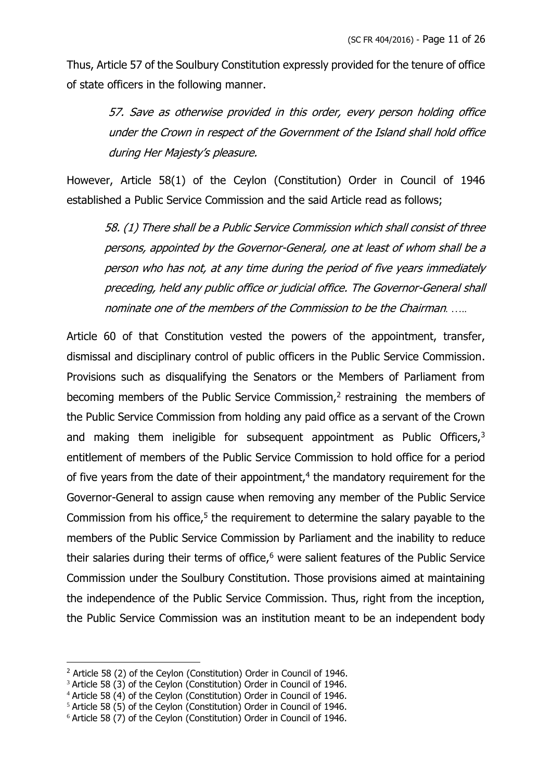Thus, Article 57 of the Soulbury Constitution expressly provided for the tenure of office of state officers in the following manner.

> 57. Save as otherwise provided in this order, every person holding office under the Crown in respect of the Government of the Island shall hold office during Her Majesty's pleasure.

However, Article 58(1) of the Ceylon (Constitution) Order in Council of 1946 established a Public Service Commission and the said Article read as follows;

58. (1) There shall be a Public Service Commission which shall consist of three persons, appointed by the Governor-General, one at least of whom shall be a person who has not, at any time during the period of five years immediately preceding, held any public office or judicial office. The Governor-General shall nominate one of the members of the Commission to be the Chairman*. …..*

Article 60 of that Constitution vested the powers of the appointment, transfer, dismissal and disciplinary control of public officers in the Public Service Commission. Provisions such as disqualifying the Senators or the Members of Parliament from becoming members of the Public Service Commission, $<sup>2</sup>$  restraining the members of</sup> the Public Service Commission from holding any paid office as a servant of the Crown and making them ineligible for subsequent appointment as Public Officers,<sup>3</sup> entitlement of members of the Public Service Commission to hold office for a period of five years from the date of their appointment, $4$  the mandatory requirement for the Governor-General to assign cause when removing any member of the Public Service Commission from his office,<sup>5</sup> the requirement to determine the salary payable to the members of the Public Service Commission by Parliament and the inability to reduce their salaries during their terms of office, $6$  were salient features of the Public Service Commission under the Soulbury Constitution. Those provisions aimed at maintaining the independence of the Public Service Commission. Thus, right from the inception, the Public Service Commission was an institution meant to be an independent body

<sup>&</sup>lt;sup>2</sup> Article 58 (2) of the Ceylon (Constitution) Order in Council of 1946.

<sup>&</sup>lt;sup>3</sup> Article 58 (3) of the Ceylon (Constitution) Order in Council of 1946.

<sup>4</sup> Article 58 (4) of the Ceylon (Constitution) Order in Council of 1946.

<sup>&</sup>lt;sup>5</sup> Article 58 (5) of the Ceylon (Constitution) Order in Council of 1946.

<sup>&</sup>lt;sup>6</sup> Article 58 (7) of the Ceylon (Constitution) Order in Council of 1946.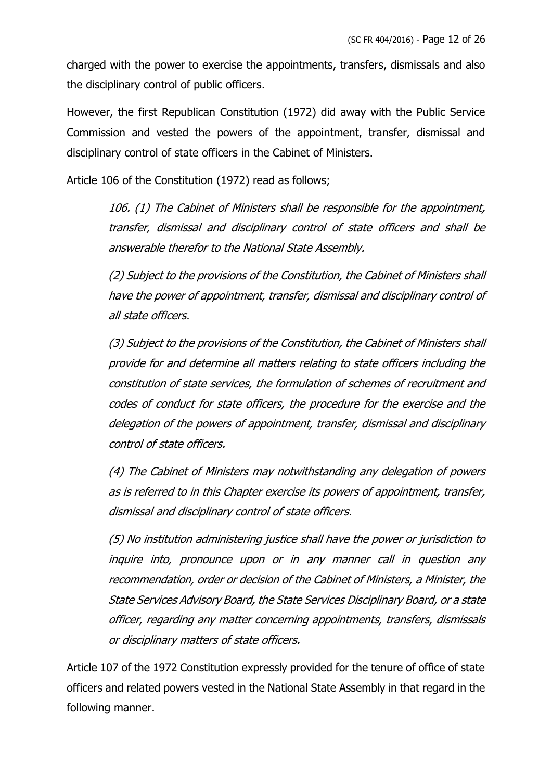charged with the power to exercise the appointments, transfers, dismissals and also the disciplinary control of public officers.

However, the first Republican Constitution (1972) did away with the Public Service Commission and vested the powers of the appointment, transfer, dismissal and disciplinary control of state officers in the Cabinet of Ministers.

Article 106 of the Constitution (1972) read as follows;

106. (1) The Cabinet of Ministers shall be responsible for the appointment, transfer, dismissal and disciplinary control of state officers and shall be answerable therefor to the National State Assembly.

(2) Subject to the provisions of the Constitution, the Cabinet of Ministers shall have the power of appointment, transfer, dismissal and disciplinary control of all state officers.

(3) Subject to the provisions of the Constitution, the Cabinet of Ministers shall provide for and determine all matters relating to state officers including the constitution of state services, the formulation of schemes of recruitment and codes of conduct for state officers, the procedure for the exercise and the delegation of the powers of appointment, transfer, dismissal and disciplinary control of state officers.

(4) The Cabinet of Ministers may notwithstanding any delegation of powers as is referred to in this Chapter exercise its powers of appointment, transfer, dismissal and disciplinary control of state officers.

(5) No institution administering justice shall have the power or jurisdiction to inquire into, pronounce upon or in any manner call in question any recommendation, order or decision of the Cabinet of Ministers, a Minister, the State Services Advisory Board, the State Services Disciplinary Board, or a state officer, regarding any matter concerning appointments, transfers, dismissals or disciplinary matters of state officers.

Article 107 of the 1972 Constitution expressly provided for the tenure of office of state officers and related powers vested in the National State Assembly in that regard in the following manner.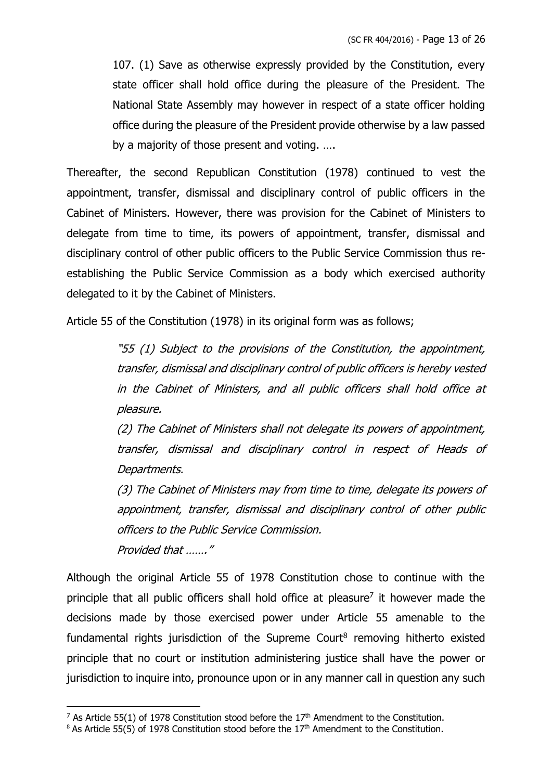107. (1) Save as otherwise expressly provided by the Constitution, every state officer shall hold office during the pleasure of the President. The National State Assembly may however in respect of a state officer holding office during the pleasure of the President provide otherwise by a law passed by a majority of those present and voting. ….

Thereafter, the second Republican Constitution (1978) continued to vest the appointment, transfer, dismissal and disciplinary control of public officers in the Cabinet of Ministers. However, there was provision for the Cabinet of Ministers to delegate from time to time, its powers of appointment, transfer, dismissal and disciplinary control of other public officers to the Public Service Commission thus reestablishing the Public Service Commission as a body which exercised authority delegated to it by the Cabinet of Ministers.

Article 55 of the Constitution (1978) in its original form was as follows;

"55 (1) Subject to the provisions of the Constitution, the appointment, transfer, dismissal and disciplinary control of public officers is hereby vested in the Cabinet of Ministers, and all public officers shall hold office at pleasure.

(2) The Cabinet of Ministers shall not delegate its powers of appointment, transfer, dismissal and disciplinary control in respect of Heads of Departments.

(3) The Cabinet of Ministers may from time to time, delegate its powers of appointment, transfer, dismissal and disciplinary control of other public officers to the Public Service Commission.

Provided that ……."

Although the original Article 55 of 1978 Constitution chose to continue with the principle that all public officers shall hold office at pleasure<sup>7</sup> it however made the decisions made by those exercised power under Article 55 amenable to the fundamental rights jurisdiction of the Supreme Court $8$  removing hitherto existed principle that no court or institution administering justice shall have the power or jurisdiction to inquire into, pronounce upon or in any manner call in question any such

<sup>&</sup>lt;sup>7</sup> As Article 55(1) of 1978 Constitution stood before the  $17<sup>th</sup>$  Amendment to the Constitution.

 $8$  As Article 55(5) of 1978 Constitution stood before the 17<sup>th</sup> Amendment to the Constitution.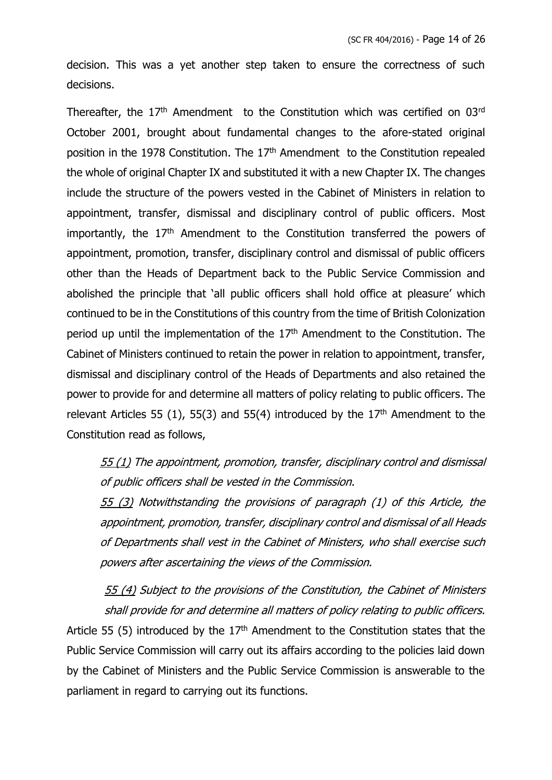decision. This was a yet another step taken to ensure the correctness of such decisions.

Thereafter, the  $17<sup>th</sup>$  Amendment to the Constitution which was certified on  $03<sup>rd</sup>$ October 2001, brought about fundamental changes to the afore-stated original position in the 1978 Constitution. The  $17<sup>th</sup>$  Amendment to the Constitution repealed the whole of original Chapter IX and substituted it with a new Chapter IX. The changes include the structure of the powers vested in the Cabinet of Ministers in relation to appointment, transfer, dismissal and disciplinary control of public officers. Most importantly, the  $17<sup>th</sup>$  Amendment to the Constitution transferred the powers of appointment, promotion, transfer, disciplinary control and dismissal of public officers other than the Heads of Department back to the Public Service Commission and abolished the principle that 'all public officers shall hold office at pleasure' which continued to be in the Constitutions of this country from the time of British Colonization period up until the implementation of the  $17<sup>th</sup>$  Amendment to the Constitution. The Cabinet of Ministers continued to retain the power in relation to appointment, transfer, dismissal and disciplinary control of the Heads of Departments and also retained the power to provide for and determine all matters of policy relating to public officers. The relevant Articles 55 (1), 55(3) and 55(4) introduced by the  $17<sup>th</sup>$  Amendment to the Constitution read as follows,

55 (1) The appointment, promotion, transfer, disciplinary control and dismissal of public officers shall be vested in the Commission.

55 (3) Notwithstanding the provisions of paragraph (1) of this Article, the appointment, promotion, transfer, disciplinary control and dismissal of all Heads of Departments shall vest in the Cabinet of Ministers, who shall exercise such powers after ascertaining the views of the Commission.

55 (4) Subject to the provisions of the Constitution, the Cabinet of Ministers shall provide for and determine all matters of policy relating to public officers. Article 55 (5) introduced by the  $17<sup>th</sup>$  Amendment to the Constitution states that the Public Service Commission will carry out its affairs according to the policies laid down by the Cabinet of Ministers and the Public Service Commission is answerable to the parliament in regard to carrying out its functions.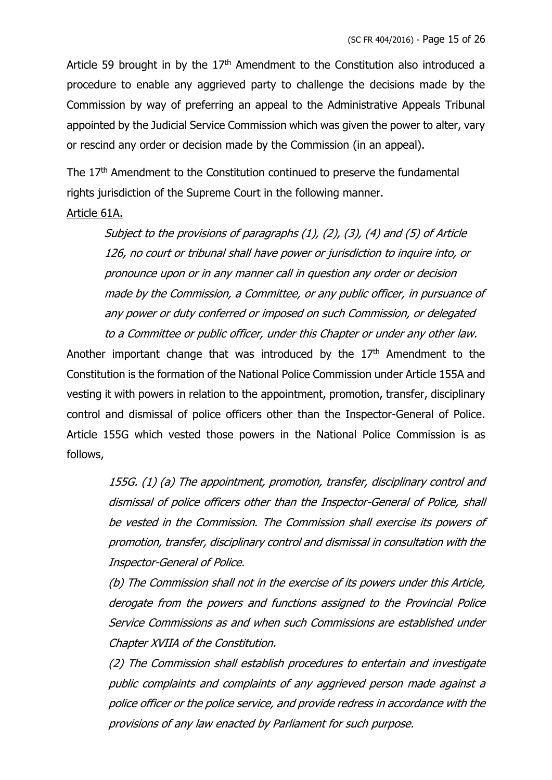Article 59 brought in by the  $17<sup>th</sup>$  Amendment to the Constitution also introduced a procedure to enable any aggrieved party to challenge the decisions made by the Commission by way of preferring an appeal to the Administrative Appeals Tribunal appointed by the Judicial Service Commission which was given the power to alter, vary or rescind any order or decision made by the Commission (in an appeal).

The 17<sup>th</sup> Amendment to the Constitution continued to preserve the fundamental rights jurisdiction of the Supreme Court in the following manner.

#### Article 61A.

Subject to the provisions of paragraphs (1), (2), (3), (4) and (5) of Article 126, no court or tribunal shall have power or jurisdiction to inquire into, or pronounce upon or in any manner call in question any order or decision made by the Commission, a Committee, or any public officer, in pursuance of any power or duty conferred or imposed on such Commission, or delegated to a Committee or public officer, under this Chapter or under any other law.

Another important change that was introduced by the  $17<sup>th</sup>$  Amendment to the Constitution is the formation of the National Police Commission under Article 155A and vesting it with powers in relation to the appointment, promotion, transfer, disciplinary control and dismissal of police officers other than the Inspector-General of Police. Article 155G which vested those powers in the National Police Commission is as follows,

> 155G. (1) (a) The appointment, promotion, transfer, disciplinary control and dismissal of police officers other than the Inspector-General of Police, shall be vested in the Commission. The Commission shall exercise its powers of promotion, transfer, disciplinary control and dismissal in consultation with the Inspector-General of Police.

> (b) The Commission shall not in the exercise of its powers under this Article, derogate from the powers and functions assigned to the Provincial Police Service Commissions as and when such Commissions are established under Chapter XVIIA of the Constitution.

> (2) The Commission shall establish procedures to entertain and investigate public complaints and complaints of any aggrieved person made against a police officer or the police service, and provide redress in accordance with the provisions of any law enacted by Parliament for such purpose.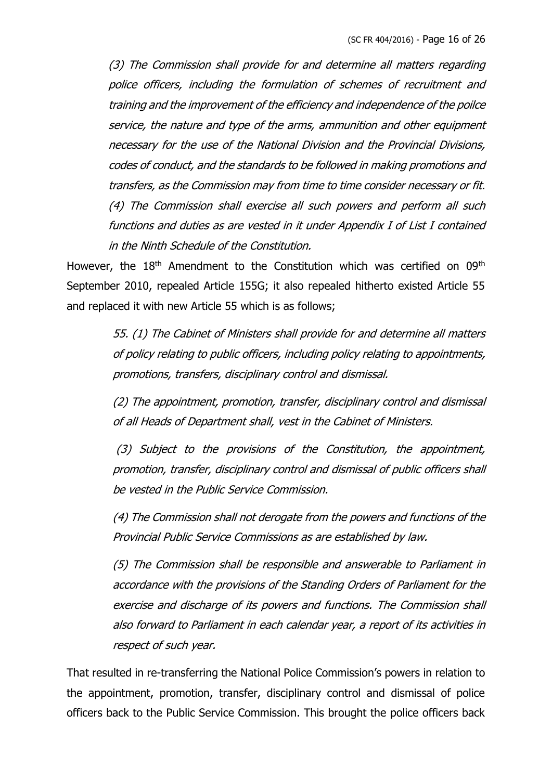(3) The Commission shall provide for and determine all matters regarding police officers, including the formulation of schemes of recruitment and training and the improvement of the efficiency and independence of the poilce service, the nature and type of the arms, ammunition and other equipment necessary for the use of the National Division and the Provincial Divisions, codes of conduct, and the standards to be followed in making promotions and transfers, as the Commission may from time to time consider necessary or fit. (4) The Commission shall exercise all such powers and perform all such functions and duties as are vested in it under Appendix I of List I contained in the Ninth Schedule of the Constitution.

However, the 18<sup>th</sup> Amendment to the Constitution which was certified on 09<sup>th</sup> September 2010, repealed Article 155G; it also repealed hitherto existed Article 55 and replaced it with new Article 55 which is as follows;

> 55. (1) The Cabinet of Ministers shall provide for and determine all matters of policy relating to public officers, including policy relating to appointments, promotions, transfers, disciplinary control and dismissal.

> (2) The appointment, promotion, transfer, disciplinary control and dismissal of all Heads of Department shall, vest in the Cabinet of Ministers.

> (3) Subject to the provisions of the Constitution, the appointment, promotion, transfer, disciplinary control and dismissal of public officers shall be vested in the Public Service Commission.

> (4) The Commission shall not derogate from the powers and functions of the Provincial Public Service Commissions as are established by law.

> (5) The Commission shall be responsible and answerable to Parliament in accordance with the provisions of the Standing Orders of Parliament for the exercise and discharge of its powers and functions. The Commission shall also forward to Parliament in each calendar year, a report of its activities in respect of such year.

That resulted in re-transferring the National Police Commission's powers in relation to the appointment, promotion, transfer, disciplinary control and dismissal of police officers back to the Public Service Commission. This brought the police officers back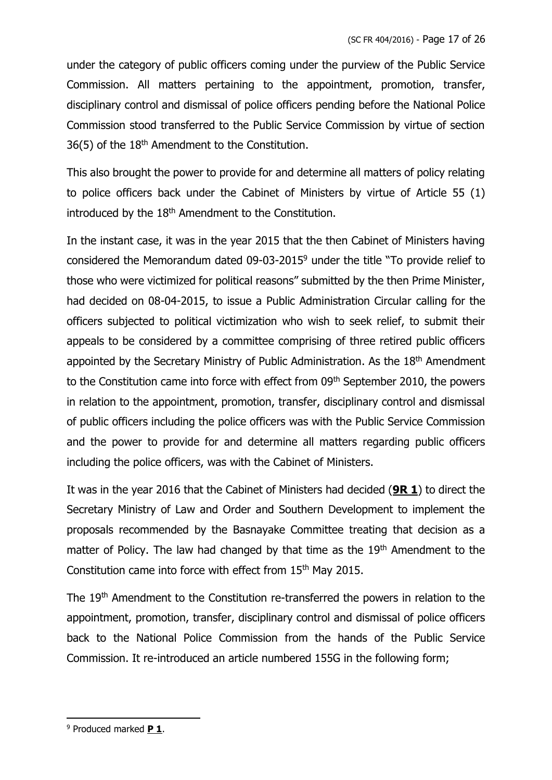under the category of public officers coming under the purview of the Public Service Commission. All matters pertaining to the appointment, promotion, transfer, disciplinary control and dismissal of police officers pending before the National Police Commission stood transferred to the Public Service Commission by virtue of section 36(5) of the 18th Amendment to the Constitution.

This also brought the power to provide for and determine all matters of policy relating to police officers back under the Cabinet of Ministers by virtue of Article 55 (1) introduced by the 18<sup>th</sup> Amendment to the Constitution.

In the instant case, it was in the year 2015 that the then Cabinet of Ministers having considered the Memorandum dated 09-03-2015<sup>9</sup> under the title "To provide relief to those who were victimized for political reasons" submitted by the then Prime Minister, had decided on 08-04-2015, to issue a Public Administration Circular calling for the officers subjected to political victimization who wish to seek relief, to submit their appeals to be considered by a committee comprising of three retired public officers appointed by the Secretary Ministry of Public Administration. As the 18th Amendment to the Constitution came into force with effect from 09<sup>th</sup> September 2010, the powers in relation to the appointment, promotion, transfer, disciplinary control and dismissal of public officers including the police officers was with the Public Service Commission and the power to provide for and determine all matters regarding public officers including the police officers, was with the Cabinet of Ministers.

It was in the year 2016 that the Cabinet of Ministers had decided (**9R 1**) to direct the Secretary Ministry of Law and Order and Southern Development to implement the proposals recommended by the Basnayake Committee treating that decision as a matter of Policy. The law had changed by that time as the 19<sup>th</sup> Amendment to the Constitution came into force with effect from 15th May 2015.

The 19<sup>th</sup> Amendment to the Constitution re-transferred the powers in relation to the appointment, promotion, transfer, disciplinary control and dismissal of police officers back to the National Police Commission from the hands of the Public Service Commission. It re-introduced an article numbered 155G in the following form;

<sup>9</sup> Produced marked **P 1**.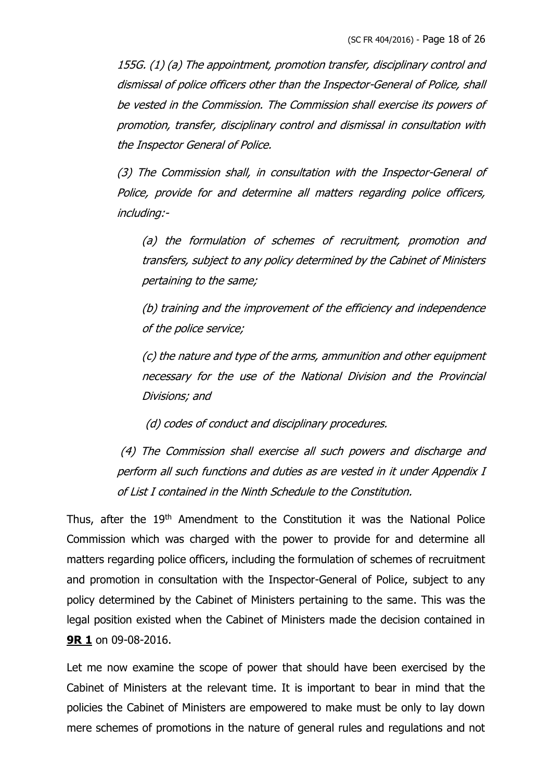155G. (1) (a) The appointment, promotion transfer, disciplinary control and dismissal of police officers other than the Inspector-General of Police, shall be vested in the Commission. The Commission shall exercise its powers of promotion, transfer, disciplinary control and dismissal in consultation with the Inspector General of Police.

(3) The Commission shall, in consultation with the Inspector-General of Police, provide for and determine all matters regarding police officers, including:-

(a) the formulation of schemes of recruitment, promotion and transfers, subject to any policy determined by the Cabinet of Ministers pertaining to the same;

(b) training and the improvement of the efficiency and independence of the police service;

(c) the nature and type of the arms, ammunition and other equipment necessary for the use of the National Division and the Provincial Divisions; and

(d) codes of conduct and disciplinary procedures.

(4) The Commission shall exercise all such powers and discharge and perform all such functions and duties as are vested in it under Appendix I of List I contained in the Ninth Schedule to the Constitution.

Thus, after the 19<sup>th</sup> Amendment to the Constitution it was the National Police Commission which was charged with the power to provide for and determine all matters regarding police officers, including the formulation of schemes of recruitment and promotion in consultation with the Inspector-General of Police, subject to any policy determined by the Cabinet of Ministers pertaining to the same. This was the legal position existed when the Cabinet of Ministers made the decision contained in **9R 1** on 09-08-2016.

Let me now examine the scope of power that should have been exercised by the Cabinet of Ministers at the relevant time. It is important to bear in mind that the policies the Cabinet of Ministers are empowered to make must be only to lay down mere schemes of promotions in the nature of general rules and regulations and not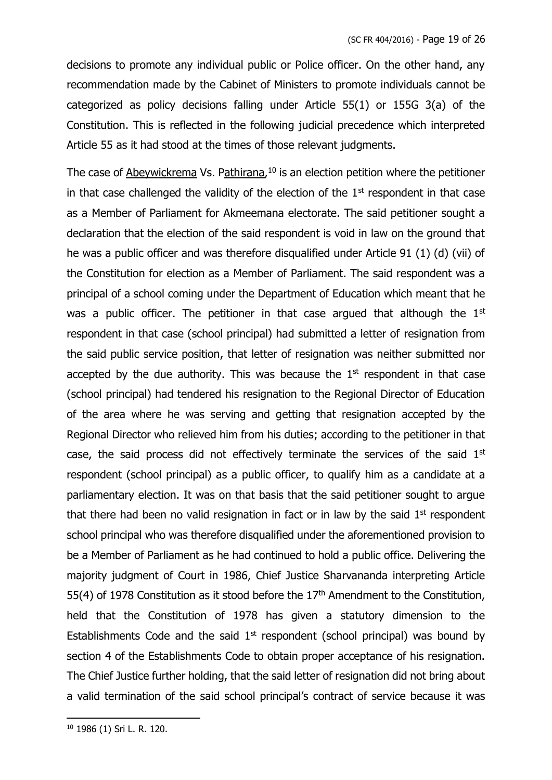decisions to promote any individual public or Police officer. On the other hand, any recommendation made by the Cabinet of Ministers to promote individuals cannot be categorized as policy decisions falling under Article 55(1) or 155G 3(a) of the Constitution. This is reflected in the following judicial precedence which interpreted Article 55 as it had stood at the times of those relevant judgments.

The case of Abeywickrema Vs. Pathirana,<sup>10</sup> is an election petition where the petitioner in that case challenged the validity of the election of the  $1<sup>st</sup>$  respondent in that case as a Member of Parliament for Akmeemana electorate. The said petitioner sought a declaration that the election of the said respondent is void in law on the ground that he was a public officer and was therefore disqualified under Article 91 (1) (d) (vii) of the Constitution for election as a Member of Parliament. The said respondent was a principal of a school coming under the Department of Education which meant that he was a public officer. The petitioner in that case argued that although the  $1<sup>st</sup>$ respondent in that case (school principal) had submitted a letter of resignation from the said public service position, that letter of resignation was neither submitted nor accepted by the due authority. This was because the  $1<sup>st</sup>$  respondent in that case (school principal) had tendered his resignation to the Regional Director of Education of the area where he was serving and getting that resignation accepted by the Regional Director who relieved him from his duties; according to the petitioner in that case, the said process did not effectively terminate the services of the said  $1<sup>st</sup>$ respondent (school principal) as a public officer, to qualify him as a candidate at a parliamentary election. It was on that basis that the said petitioner sought to argue that there had been no valid resignation in fact or in law by the said  $1<sup>st</sup>$  respondent school principal who was therefore disqualified under the aforementioned provision to be a Member of Parliament as he had continued to hold a public office. Delivering the majority judgment of Court in 1986, Chief Justice Sharvananda interpreting Article 55(4) of 1978 Constitution as it stood before the  $17<sup>th</sup>$  Amendment to the Constitution, held that the Constitution of 1978 has given a statutory dimension to the Establishments Code and the said  $1<sup>st</sup>$  respondent (school principal) was bound by section 4 of the Establishments Code to obtain proper acceptance of his resignation. The Chief Justice further holding, that the said letter of resignation did not bring about a valid termination of the said school principal's contract of service because it was

<sup>10</sup> 1986 (1) Sri L. R. 120.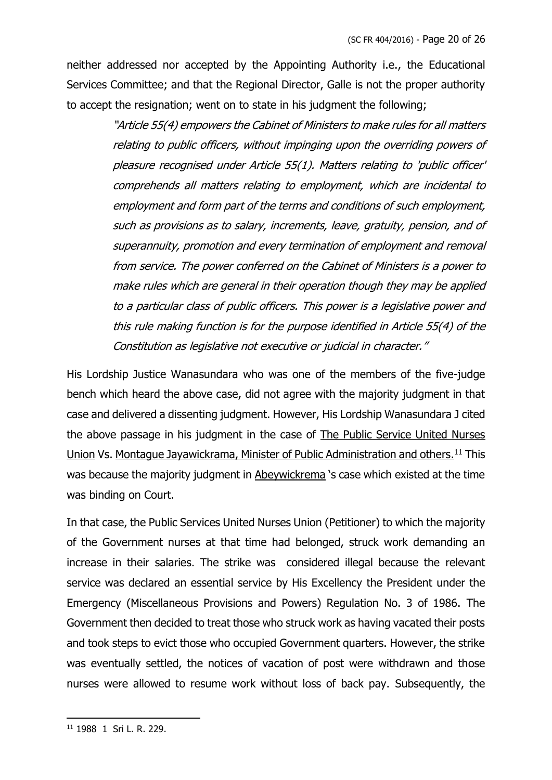neither addressed nor accepted by the Appointing Authority i.e., the Educational Services Committee; and that the Regional Director, Galle is not the proper authority to accept the resignation; went on to state in his judgment the following;

> "Article 55(4) empowers the Cabinet of Ministers to make rules for all matters relating to public officers, without impinging upon the overriding powers of pleasure recognised under Article 55(1). Matters relating to 'public officer' comprehends all matters relating to employment, which are incidental to employment and form part of the terms and conditions of such employment, such as provisions as to salary, increments, leave, gratuity, pension, and of superannuity, promotion and every termination of employment and removal from service. The power conferred on the Cabinet of Ministers is a power to make rules which are general in their operation though they may be applied to a particular class of public officers. This power is a legislative power and this rule making function is for the purpose identified in Article 55(4) of the Constitution as legislative not executive or judicial in character."

His Lordship Justice Wanasundara who was one of the members of the five-judge bench which heard the above case, did not agree with the majority judgment in that case and delivered a dissenting judgment. However, His Lordship Wanasundara J cited the above passage in his judgment in the case of The Public Service United Nurses Union Vs. Montague Jayawickrama, Minister of Public Administration and others.<sup>11</sup> This was because the majority judgment in Abeywickrema 's case which existed at the time was binding on Court.

In that case, the Public Services United Nurses Union (Petitioner) to which the majority of the Government nurses at that time had belonged, struck work demanding an increase in their salaries. The strike was considered illegal because the relevant service was declared an essential service by His Excellency the President under the Emergency (Miscellaneous Provisions and Powers) Regulation No. 3 of 1986. The Government then decided to treat those who struck work as having vacated their posts and took steps to evict those who occupied Government quarters. However, the strike was eventually settled, the notices of vacation of post were withdrawn and those nurses were allowed to resume work without loss of back pay. Subsequently, the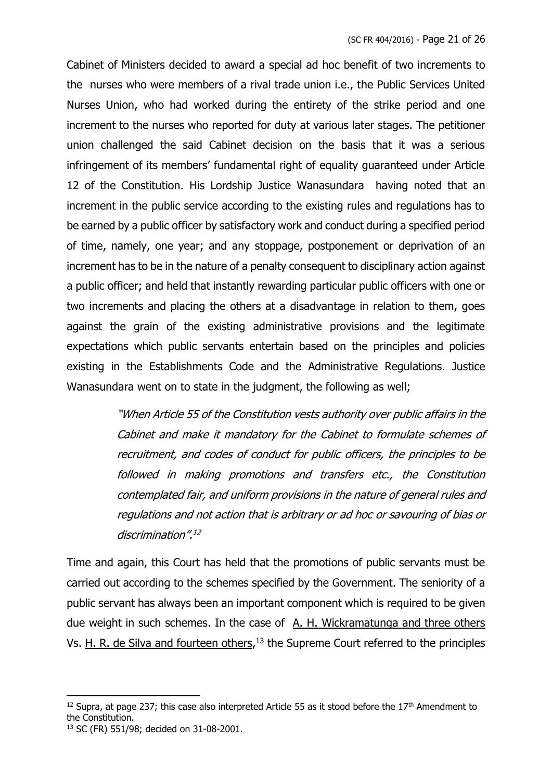Cabinet of Ministers decided to award a special ad hoc benefit of two increments to the nurses who were members of a rival trade union i.e., the Public Services United Nurses Union, who had worked during the entirety of the strike period and one increment to the nurses who reported for duty at various later stages. The petitioner union challenged the said Cabinet decision on the basis that it was a serious infringement of its members' fundamental right of equality guaranteed under Article 12 of the Constitution. His Lordship Justice Wanasundara having noted that an increment in the public service according to the existing rules and regulations has to be earned by a public officer by satisfactory work and conduct during a specified period of time, namely, one year; and any stoppage, postponement or deprivation of an increment has to be in the nature of a penalty consequent to disciplinary action against a public officer; and held that instantly rewarding particular public officers with one or two increments and placing the others at a disadvantage in relation to them, goes against the grain of the existing administrative provisions and the legitimate expectations which public servants entertain based on the principles and policies existing in the Establishments Code and the Administrative Regulations. Justice Wanasundara went on to state in the judgment, the following as well;

> "When Article 55 of the Constitution vests authority over public affairs in the Cabinet and make it mandatory for the Cabinet to formulate schemes of recruitment, and codes of conduct for public officers, the principles to be followed in making promotions and transfers etc., the Constitution contemplated fair, and uniform provisions in the nature of general rules and regulations and not action that is arbitrary or ad hoc or savouring of bias or discrimination". 12

Time and again, this Court has held that the promotions of public servants must be carried out according to the schemes specified by the Government. The seniority of a public servant has always been an important component which is required to be given due weight in such schemes. In the case of A. H. Wickramatunga and three others Vs. H. R. de Silva and fourteen others,<sup>13</sup> the Supreme Court referred to the principles

 $12$  Supra, at page 237; this case also interpreted Article 55 as it stood before the  $17<sup>th</sup>$  Amendment to the Constitution.

<sup>13</sup> SC (FR) 551/98; decided on 31-08-2001.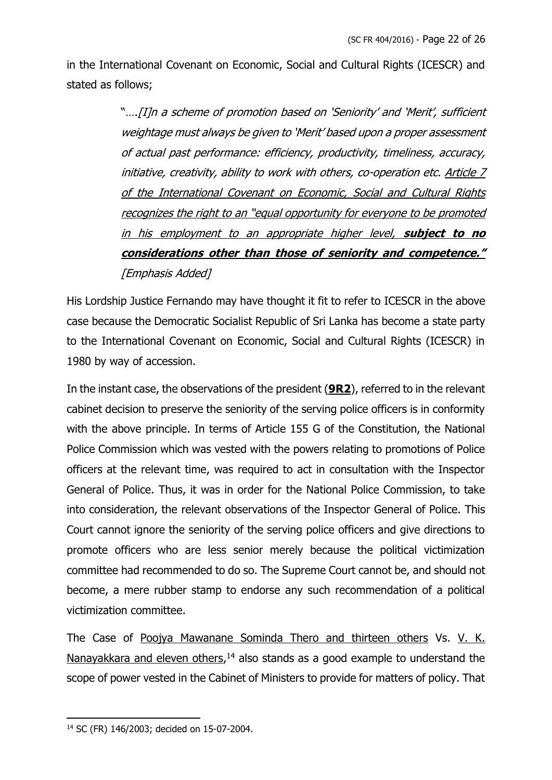in the International Covenant on Economic, Social and Cultural Rights (ICESCR) and stated as follows;

> "….[I]n a scheme of promotion based on 'Seniority' and 'Merit', sufficient weightage must always be given to 'Merit' based upon a proper assessment of actual past performance: efficiency, productivity, timeliness, accuracy, initiative, creativity, ability to work with others, co-operation etc. Article 7 of the International Covenant on Economic, Social and Cultural Rights recognizes the right to an "equal opportunity for everyone to be promoted in his employment to an appropriate higher level, **subject to no considerations other than those of seniority and competence."**  [Emphasis Added]

His Lordship Justice Fernando may have thought it fit to refer to ICESCR in the above case because the Democratic Socialist Republic of Sri Lanka has become a state party to the International Covenant on Economic, Social and Cultural Rights (ICESCR) in 1980 by way of accession.

In the instant case, the observations of the president (**9R2**), referred to in the relevant cabinet decision to preserve the seniority of the serving police officers is in conformity with the above principle. In terms of Article 155 G of the Constitution, the National Police Commission which was vested with the powers relating to promotions of Police officers at the relevant time, was required to act in consultation with the Inspector General of Police. Thus, it was in order for the National Police Commission, to take into consideration, the relevant observations of the Inspector General of Police. This Court cannot ignore the seniority of the serving police officers and give directions to promote officers who are less senior merely because the political victimization committee had recommended to do so. The Supreme Court cannot be, and should not become, a mere rubber stamp to endorse any such recommendation of a political victimization committee.

The Case of Poojya Mawanane Sominda Thero and thirteen others Vs. V. K. Nanayakkara and eleven others,<sup>14</sup> also stands as a good example to understand the scope of power vested in the Cabinet of Ministers to provide for matters of policy. That

<sup>14</sup> SC (FR) 146/2003; decided on 15-07-2004.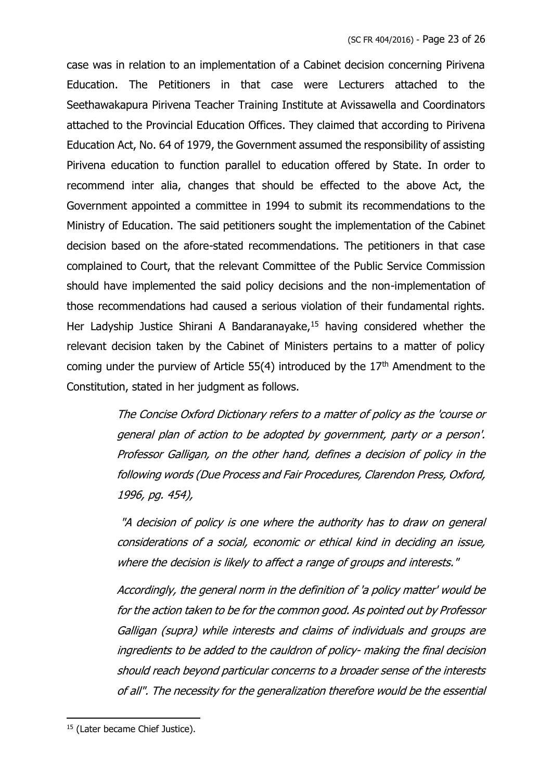case was in relation to an implementation of a Cabinet decision concerning Pirivena Education. The Petitioners in that case were Lecturers attached to the Seethawakapura Pirivena Teacher Training Institute at Avissawella and Coordinators attached to the Provincial Education Offices. They claimed that according to Pirivena Education Act, No. 64 of 1979, the Government assumed the responsibility of assisting Pirivena education to function parallel to education offered by State. In order to recommend inter alia, changes that should be effected to the above Act, the Government appointed a committee in 1994 to submit its recommendations to the Ministry of Education. The said petitioners sought the implementation of the Cabinet decision based on the afore-stated recommendations. The petitioners in that case complained to Court, that the relevant Committee of the Public Service Commission should have implemented the said policy decisions and the non-implementation of those recommendations had caused a serious violation of their fundamental rights. Her Ladyship Justice Shirani A Bandaranayake,<sup>15</sup> having considered whether the relevant decision taken by the Cabinet of Ministers pertains to a matter of policy coming under the purview of Article 55(4) introduced by the 17<sup>th</sup> Amendment to the Constitution, stated in her judgment as follows.

> The Concise Oxford Dictionary refers to a matter of policy as the 'course or general plan of action to be adopted by government, party or a person'. Professor Galligan, on the other hand, defines a decision of policy in the following words (Due Process and Fair Procedures, Clarendon Press, Oxford, 1996, pg. 454),

> "A decision of policy is one where the authority has to draw on general considerations of a social, economic or ethical kind in deciding an issue, where the decision is likely to affect a range of groups and interests."

> Accordingly, the general norm in the definition of 'a policy matter' would be for the action taken to be for the common good. As pointed out by Professor Galligan (supra) while interests and claims of individuals and groups are ingredients to be added to the cauldron of policy- making the final decision should reach beyond particular concerns to a broader sense of the interests of all". The necessity for the generalization therefore would be the essential

<sup>&</sup>lt;sup>15</sup> (Later became Chief Justice).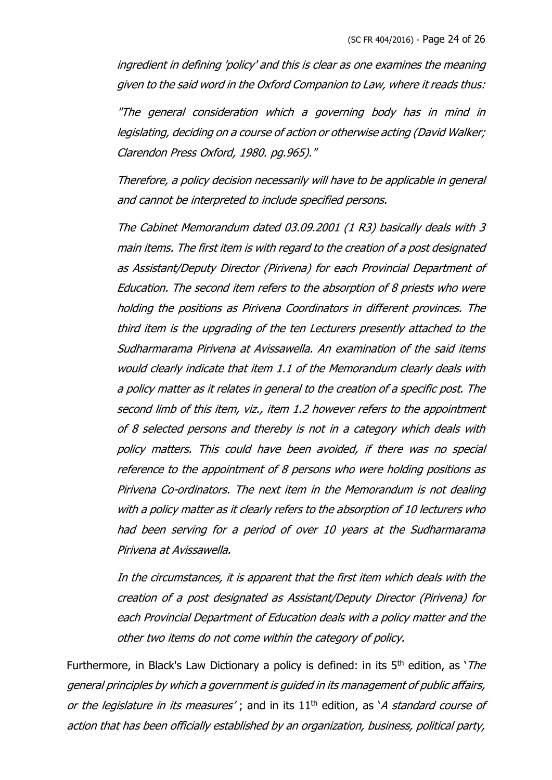ingredient in defining 'policy' and this is clear as one examines the meaning given to the said word in the Oxford Companion to Law, where it reads thus:

"The general consideration which a governing body has in mind in legislating, deciding on a course of action or otherwise acting (David Walker; Clarendon Press Oxford, 1980. pg.965)."

Therefore, a policy decision necessarily will have to be applicable in general and cannot be interpreted to include specified persons.

The Cabinet Memorandum dated 03.09.2001 (1 R3) basically deals with 3 main items. The first item is with regard to the creation of a post designated as Assistant/Deputy Director (Pirivena) for each Provincial Department of Education. The second item refers to the absorption of 8 priests who were holding the positions as Pirivena Coordinators in different provinces. The third item is the upgrading of the ten Lecturers presently attached to the Sudharmarama Pirivena at Avissawella. An examination of the said items would clearly indicate that item 1.1 of the Memorandum clearly deals with a policy matter as it relates in general to the creation of a specific post. The second limb of this item, viz., item 1.2 however refers to the appointment of 8 selected persons and thereby is not in a category which deals with policy matters. This could have been avoided, if there was no special reference to the appointment of 8 persons who were holding positions as Pirivena Co-ordinators. The next item in the Memorandum is not dealing with a policy matter as it clearly refers to the absorption of 10 lecturers who had been serving for a period of over 10 years at the Sudharmarama Pirivena at Avissawella.

In the circumstances, it is apparent that the first item which deals with the creation of a post designated as Assistant/Deputy Director (Pirivena) for each Provincial Department of Education deals with a policy matter and the other two items do not come within the category of policy.

Furthermore, in Black's Law Dictionary a policy is defined: in its  $5<sup>th</sup>$  edition, as '*The* general principles by which a government is guided in its management of public affairs, or the legislature in its measures'; and in its  $11<sup>th</sup>$  edition, as 'A standard course of action that has been officially established by an organization, business, political party,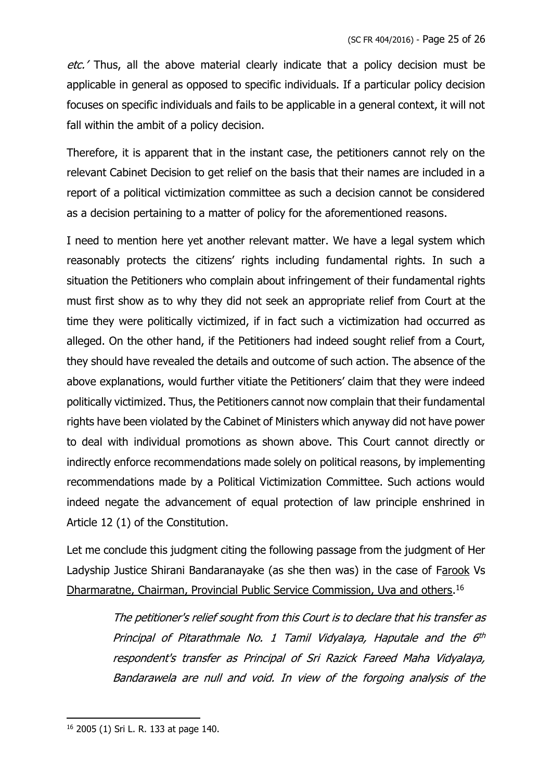etc.' Thus, all the above material clearly indicate that a policy decision must be applicable in general as opposed to specific individuals. If a particular policy decision focuses on specific individuals and fails to be applicable in a general context, it will not fall within the ambit of a policy decision.

Therefore, it is apparent that in the instant case, the petitioners cannot rely on the relevant Cabinet Decision to get relief on the basis that their names are included in a report of a political victimization committee as such a decision cannot be considered as a decision pertaining to a matter of policy for the aforementioned reasons.

I need to mention here yet another relevant matter. We have a legal system which reasonably protects the citizens' rights including fundamental rights. In such a situation the Petitioners who complain about infringement of their fundamental rights must first show as to why they did not seek an appropriate relief from Court at the time they were politically victimized, if in fact such a victimization had occurred as alleged. On the other hand, if the Petitioners had indeed sought relief from a Court, they should have revealed the details and outcome of such action. The absence of the above explanations, would further vitiate the Petitioners' claim that they were indeed politically victimized. Thus, the Petitioners cannot now complain that their fundamental rights have been violated by the Cabinet of Ministers which anyway did not have power to deal with individual promotions as shown above. This Court cannot directly or indirectly enforce recommendations made solely on political reasons, by implementing recommendations made by a Political Victimization Committee. Such actions would indeed negate the advancement of equal protection of law principle enshrined in Article 12 (1) of the Constitution.

Let me conclude this judgment citing the following passage from the judgment of Her Ladyship Justice Shirani Bandaranayake (as she then was) in the case of Farook Vs Dharmaratne, Chairman, Provincial Public Service Commission, Uva and others.<sup>16</sup>

> The petitioner's relief sought from this Court is to declare that his transfer as Principal of Pitarathmale No. 1 Tamil Vidyalaya, Haputale and the 6th respondent's transfer as Principal of Sri Razick Fareed Maha Vidyalaya, Bandarawela are null and void. In view of the forgoing analysis of the

<sup>16</sup> 2005 (1) Sri L. R. 133 at page 140.